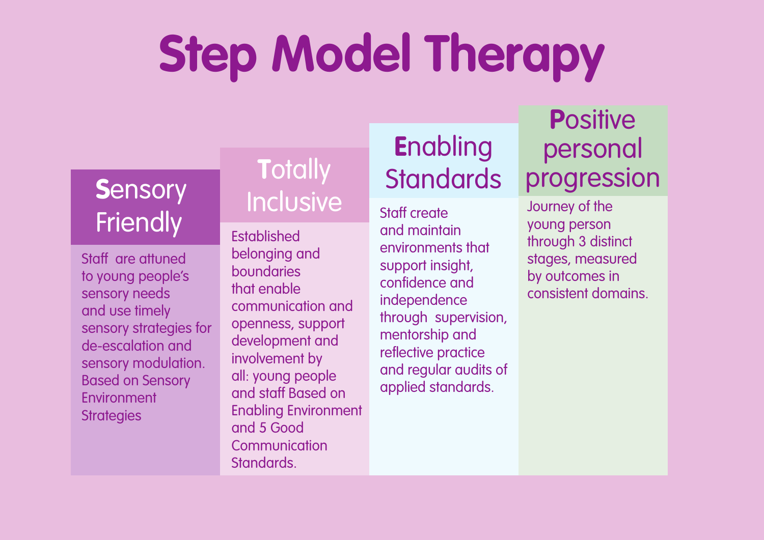# **Step Model Therapy**

### **S**ensory **Friendly**

Staff are attuned to young people's sensory needs and use timely sensory strategies for de-escalation and sensory modulation. Based on Sensory Environment **Strategies** 

### **T**otally **Inclusive**

**Established** belonging and boundaries that enable communication and openness, support development and involvement by all: young people and staff Based on Enabling Environment and 5 Good **Communication Standards** 

# **E**nabling **Standards**

Staff create and maintain environments that support insight, confidence and independence through supervision, mentorship and reflective practice and regular audits of applied standards.

#### **P**ositive personal progression

Journey of the young person through 3 distinct stages, measured by outcomes in consistent domains.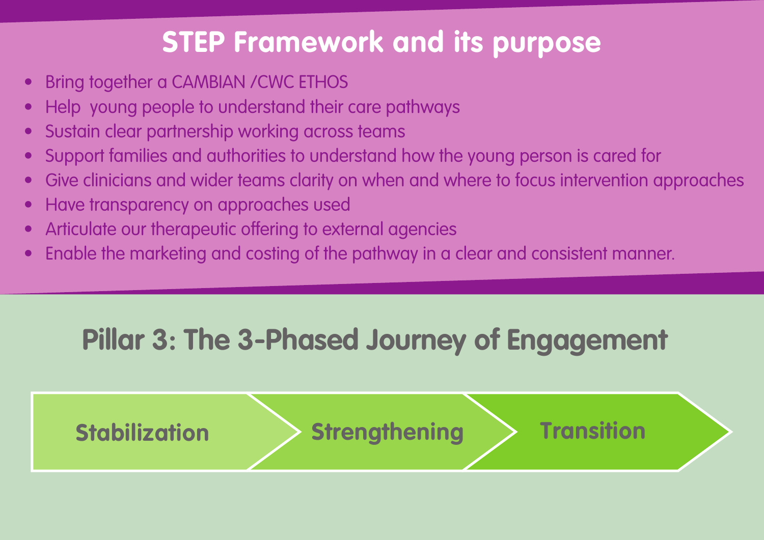### **STEP Framework and its purpose**

- Bring together a CAMBIAN /CWC ETHOS
- Help young people to understand their care pathways
- Sustain clear partnership working across teams
- Support families and authorities to understand how the young person is cared for
- Give clinicians and wider teams clarity on when and where to focus intervention approaches
- Have transparency on approaches used
- Articulate our therapeutic offering to external agencies
- Enable the marketing and costing of the pathway in a clear and consistent manner.

# **Pillar 3: The 3-Phased Journey of Engagement**

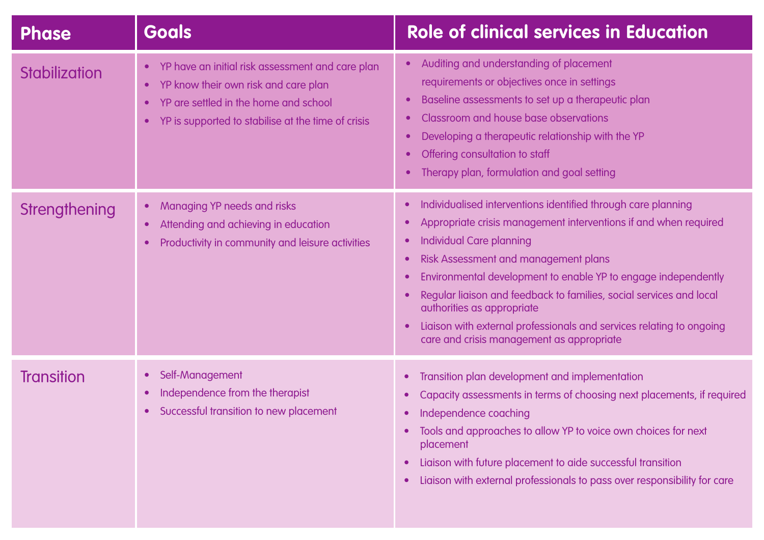| <b>Phase</b>         | <b>Goals</b>                                                                                                                                                                                                                                | <b>Role of clinical services in Education</b>                                                                                                                                                                                                                                                                                                                                                                                                                                                            |
|----------------------|---------------------------------------------------------------------------------------------------------------------------------------------------------------------------------------------------------------------------------------------|----------------------------------------------------------------------------------------------------------------------------------------------------------------------------------------------------------------------------------------------------------------------------------------------------------------------------------------------------------------------------------------------------------------------------------------------------------------------------------------------------------|
| <b>Stabilization</b> | YP have an initial risk assessment and care plan<br>$\bullet$<br>YP know their own risk and care plan<br>$\bullet$<br>YP are settled in the home and school<br>$\bullet$<br>YP is supported to stabilise at the time of crisis<br>$\bullet$ | Auditing and understanding of placement<br>$\bullet$<br>requirements or objectives once in settings<br>Baseline assessments to set up a therapeutic plan<br>Classroom and house base observations<br>$\bullet$<br>Developing a therapeutic relationship with the YP<br>$\bullet$<br>Offering consultation to staff<br>Therapy plan, formulation and goal setting<br>$\bullet$                                                                                                                            |
| Strengthening        | Managing YP needs and risks<br>$\bullet$<br>Attending and achieving in education<br>$\bullet$<br>Productivity in community and leisure activities<br>$\bullet$                                                                              | Individualised interventions identified through care planning<br>Appropriate crisis management interventions if and when required<br><b>Individual Care planning</b><br>Risk Assessment and management plans<br>Environmental development to enable YP to engage independently<br>Regular liaison and feedback to families, social services and local<br>authorities as appropriate<br>Liaison with external professionals and services relating to ongoing<br>care and crisis management as appropriate |
| <b>Transition</b>    | Self-Management<br>$\bullet$<br>Independence from the therapist<br>$\bullet$<br>Successful transition to new placement<br>$\bullet$                                                                                                         | Transition plan development and implementation<br>Capacity assessments in terms of choosing next placements, if required<br>Independence coaching<br>Tools and approaches to allow YP to voice own choices for next<br>$\bullet$<br>placement<br>Liaison with future placement to aide successful transition<br>Liaison with external professionals to pass over responsibility for care                                                                                                                 |